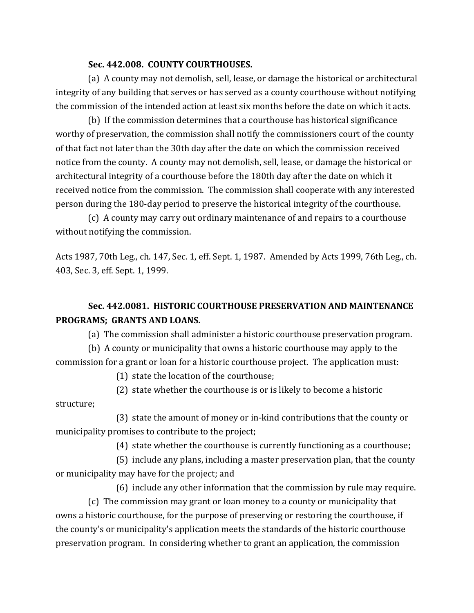## **Sec. 442.008. COUNTY COURTHOUSES.**

(a) A county may not demolish, sell, lease, or damage the historical or architectural integrity of any building that serves or has served as a county courthouse without notifying the commission of the intended action at least six months before the date on which it acts.

(b) If the commission determines that a courthouse has historical significance worthy of preservation, the commission shall notify the commissioners court of the county of that fact not later than the 30th day after the date on which the commission received notice from the county. A county may not demolish, sell, lease, or damage the historical or architectural integrity of a courthouse before the 180th day after the date on which it received notice from the commission. The commission shall cooperate with any interested person during the 180-day period to preserve the historical integrity of the courthouse.

(c) A county may carry out ordinary maintenance of and repairs to a courthouse without notifying the commission.

Acts 1987, 70th Leg., ch. 147, Sec. 1, eff. Sept. 1, 1987. Amended by Acts 1999, 76th Leg., ch. 403, Sec. 3, eff. Sept. 1, 1999.

## **Sec. 442.0081. HISTORIC COURTHOUSE PRESERVATION AND MAINTENANCE PROGRAMS; GRANTS AND LOANS.**

(a) The commission shall administer a historic courthouse preservation program.

(b) A county or municipality that owns a historic courthouse may apply to the commission for a grant or loan for a historic courthouse project. The application must:

(1) state the location of the courthouse;

(2) state whether the courthouse is or is likely to become a historic structure;

(3) state the amount of money or in-kind contributions that the county or municipality promises to contribute to the project;

(4) state whether the courthouse is currently functioning as a courthouse;

(5) include any plans, including a master preservation plan, that the county or municipality may have for the project; and

(6) include any other information that the commission by rule may require.

(c) The commission may grant or loan money to a county or municipality that owns a historic courthouse, for the purpose of preserving or restoring the courthouse, if the county's or municipality's application meets the standards of the historic courthouse preservation program. In considering whether to grant an application, the commission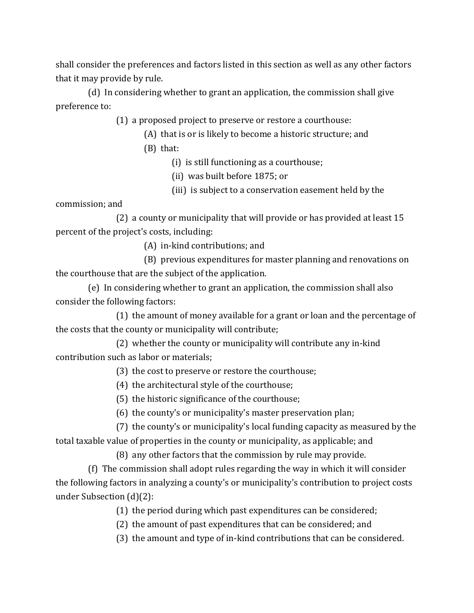shall consider the preferences and factors listed in this section as well as any other factors that it may provide by rule.

(d) In considering whether to grant an application, the commission shall give preference to:

(1) a proposed project to preserve or restore a courthouse:

- (A) that is or is likely to become a historic structure; and
- (B) that:

(i) is still functioning as a courthouse;

- (ii) was built before 1875; or
- (iii) is subject to a conservation easement held by the

commission; and

(2) a county or municipality that will provide or has provided at least 15 percent of the project's costs, including:

(A) in-kind contributions; and

(B) previous expenditures for master planning and renovations on the courthouse that are the subject of the application.

(e) In considering whether to grant an application, the commission shall also consider the following factors:

(1) the amount of money available for a grant or loan and the percentage of the costs that the county or municipality will contribute;

(2) whether the county or municipality will contribute any in-kind contribution such as labor or materials;

(3) the cost to preserve or restore the courthouse;

(4) the architectural style of the courthouse;

(5) the historic significance of the courthouse;

(6) the county's or municipality's master preservation plan;

(7) the county's or municipality's local funding capacity as measured by the total taxable value of properties in the county or municipality, as applicable; and

(8) any other factors that the commission by rule may provide.

(f) The commission shall adopt rules regarding the way in which it will consider the following factors in analyzing a county's or municipality's contribution to project costs under Subsection (d)(2):

(1) the period during which past expenditures can be considered;

(2) the amount of past expenditures that can be considered; and

(3) the amount and type of in-kind contributions that can be considered.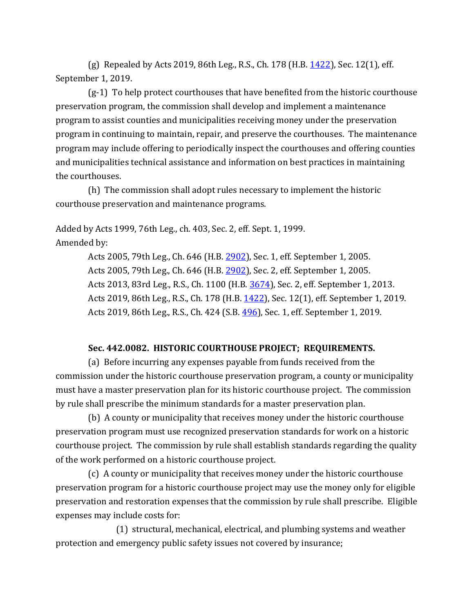(g) Repealed by Acts 2019, 86th Leg., R.S., Ch. 178 (H.B.  $1422$ ), Sec. 12(1), eff. September 1, 2019.

(g-1) To help protect courthouses that have benefited from the historic courthouse preservation program, the commission shall develop and implement a maintenance program to assist counties and municipalities receiving money under the preservation program in continuing to maintain, repair, and preserve the courthouses. The maintenance program may include offering to periodically inspect the courthouses and offering counties and municipalities technical assistance and information on best practices in maintaining the courthouses.

(h) The commission shall adopt rules necessary to implement the historic courthouse preservation and maintenance programs.

Added by Acts 1999, 76th Leg., ch. 403, Sec. 2, eff. Sept. 1, 1999. Amended by:

> Acts 2005, 79th Leg., Ch. 646 (H.B. [2902\)](http://www.legis.state.tx.us/tlodocs/79R/billtext/html/HB02902F.HTM), Sec. 1, eff. September 1, 2005. Acts 2005, 79th Leg., Ch. 646 (H.B. [2902\)](http://www.legis.state.tx.us/tlodocs/79R/billtext/html/HB02902F.HTM), Sec. 2, eff. September 1, 2005. Acts 2013, 83rd Leg., R.S., Ch. 1100 (H.B. [3674\)](http://www.legis.state.tx.us/tlodocs/83R/billtext/html/HB03674F.HTM), Sec. 2, eff. September 1, 2013. Acts 2019, 86th Leg., R.S., Ch. 178 (H.B. [1422\)](http://www.legis.state.tx.us/tlodocs/86R/billtext/html/HB01422F.HTM), Sec. 12(1), eff. September 1, 2019. Acts 2019, 86th Leg., R.S., Ch. 424 (S.B[. 496\)](http://www.legis.state.tx.us/tlodocs/86R/billtext/html/SB00496F.HTM), Sec. 1, eff. September 1, 2019.

## **Sec. 442.0082. HISTORIC COURTHOUSE PROJECT; REQUIREMENTS.**

(a) Before incurring any expenses payable from funds received from the commission under the historic courthouse preservation program, a county or municipality must have a master preservation plan for its historic courthouse project. The commission by rule shall prescribe the minimum standards for a master preservation plan.

(b) A county or municipality that receives money under the historic courthouse preservation program must use recognized preservation standards for work on a historic courthouse project. The commission by rule shall establish standards regarding the quality of the work performed on a historic courthouse project.

(c) A county or municipality that receives money under the historic courthouse preservation program for a historic courthouse project may use the money only for eligible preservation and restoration expenses that the commission by rule shall prescribe. Eligible expenses may include costs for:

(1) structural, mechanical, electrical, and plumbing systems and weather protection and emergency public safety issues not covered by insurance;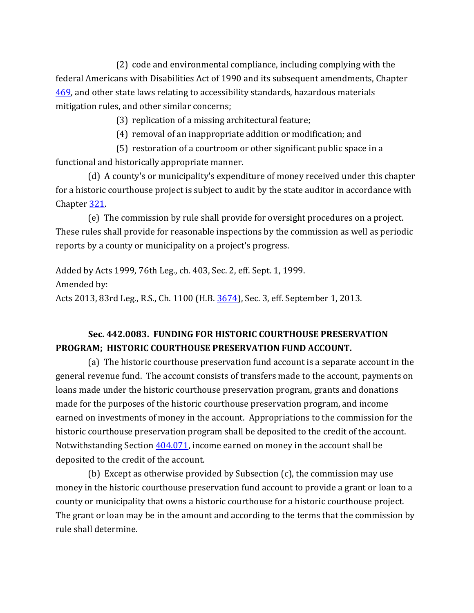(2) code and environmental compliance, including complying with the federal Americans with Disabilities Act of 1990 and its subsequent amendments, Chapter [469,](http://www.statutes.legis.state.tx.us/GetStatute.aspx?Code=GV&Value=469) and other state laws relating to accessibility standards, hazardous materials mitigation rules, and other similar concerns;

(3) replication of a missing architectural feature;

(4) removal of an inappropriate addition or modification; and

(5) restoration of a courtroom or other significant public space in a functional and historically appropriate manner.

(d) A county's or municipality's expenditure of money received under this chapter for a historic courthouse project is subject to audit by the state auditor in accordance with Chapter [321.](http://www.statutes.legis.state.tx.us/GetStatute.aspx?Code=GV&Value=321)

(e) The commission by rule shall provide for oversight procedures on a project. These rules shall provide for reasonable inspections by the commission as well as periodic reports by a county or municipality on a project's progress.

Added by Acts 1999, 76th Leg., ch. 403, Sec. 2, eff. Sept. 1, 1999. Amended by: Acts 2013, 83rd Leg., R.S., Ch. 1100 (H.B. [3674\)](http://www.legis.state.tx.us/tlodocs/83R/billtext/html/HB03674F.HTM), Sec. 3, eff. September 1, 2013.

## **Sec. 442.0083. FUNDING FOR HISTORIC COURTHOUSE PRESERVATION PROGRAM; HISTORIC COURTHOUSE PRESERVATION FUND ACCOUNT.**

(a) The historic courthouse preservation fund account is a separate account in the general revenue fund. The account consists of transfers made to the account, payments on loans made under the historic courthouse preservation program, grants and donations made for the purposes of the historic courthouse preservation program, and income earned on investments of money in the account. Appropriations to the commission for the historic courthouse preservation program shall be deposited to the credit of the account. Notwithstanding Section  $404.071$ , income earned on money in the account shall be deposited to the credit of the account.

(b) Except as otherwise provided by Subsection (c), the commission may use money in the historic courthouse preservation fund account to provide a grant or loan to a county or municipality that owns a historic courthouse for a historic courthouse project. The grant or loan may be in the amount and according to the terms that the commission by rule shall determine.